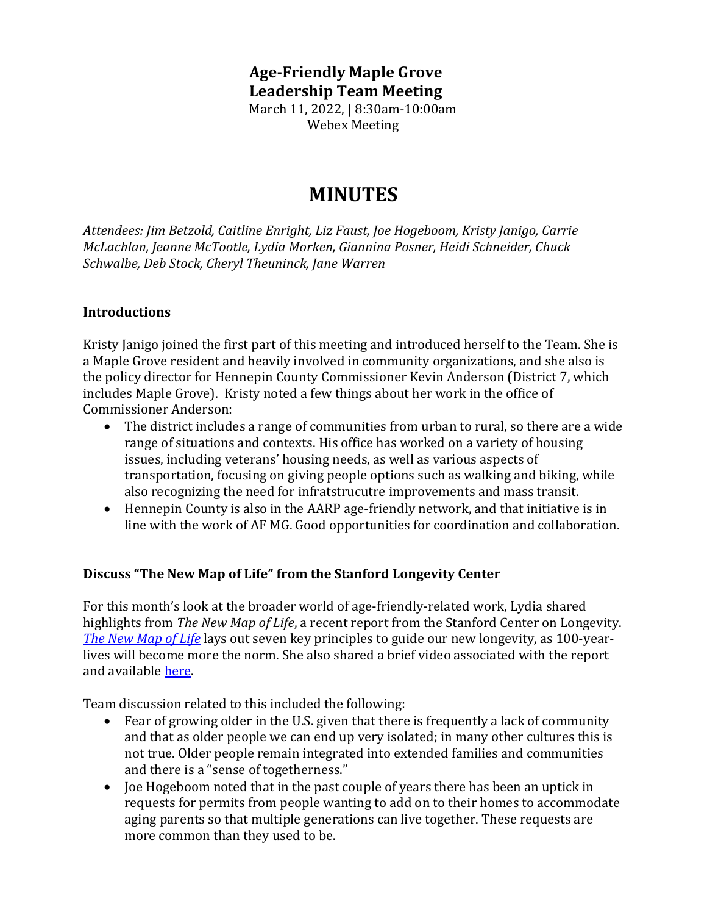### **Age-Friendly Maple Grove Leadership Team Meeting** March 11, 2022, | 8:30am-10:00am Webex Meeting

# **MINUTES**

*Attendees: Jim Betzold, Caitline Enright, Liz Faust, Joe Hogeboom, Kristy Janigo, Carrie McLachlan, Jeanne McTootle, Lydia Morken, Giannina Posner, Heidi Schneider, Chuck Schwalbe, Deb Stock, Cheryl Theuninck, Jane Warren*

#### **Introductions**

Kristy Janigo joined the first part of this meeting and introduced herself to the Team. She is a Maple Grove resident and heavily involved in community organizations, and she also is the policy director for Hennepin County Commissioner Kevin Anderson (District 7, which includes Maple Grove). Kristy noted a few things about her work in the office of Commissioner Anderson:

- The district includes a range of communities from urban to rural, so there are a wide range of situations and contexts. His office has worked on a variety of housing issues, including veterans' housing needs, as well as various aspects of transportation, focusing on giving people options such as walking and biking, while also recognizing the need for infratstrucutre improvements and mass transit.
- Hennepin County is also in the AARP age-friendly network, and that initiative is in line with the work of AF MG. Good opportunities for coordination and collaboration.

#### **Discuss "The New Map of Life" from the Stanford Longevity Center**

For this month's look at the broader world of age-friendly-related work, Lydia shared highlights from *The New Map of Life*, a recent report from the Stanford Center on Longevity. *The [New Map of Life](https://longevity.stanford.edu/the-new-map-of-life-report/)* lays out seven key principles to guide our new longevity, as 100-yearlives will become more the norm. She also shared a brief video associated with the report and available [here.](https://longevity.stanford.edu/the-new-map-of-life-report/)

Team discussion related to this included the following:

- Fear of growing older in the U.S. given that there is frequently a lack of community and that as older people we can end up very isolated; in many other cultures this is not true. Older people remain integrated into extended families and communities and there is a "sense of togetherness."
- Joe Hogeboom noted that in the past couple of years there has been an uptick in requests for permits from people wanting to add on to their homes to accommodate aging parents so that multiple generations can live together. These requests are more common than they used to be.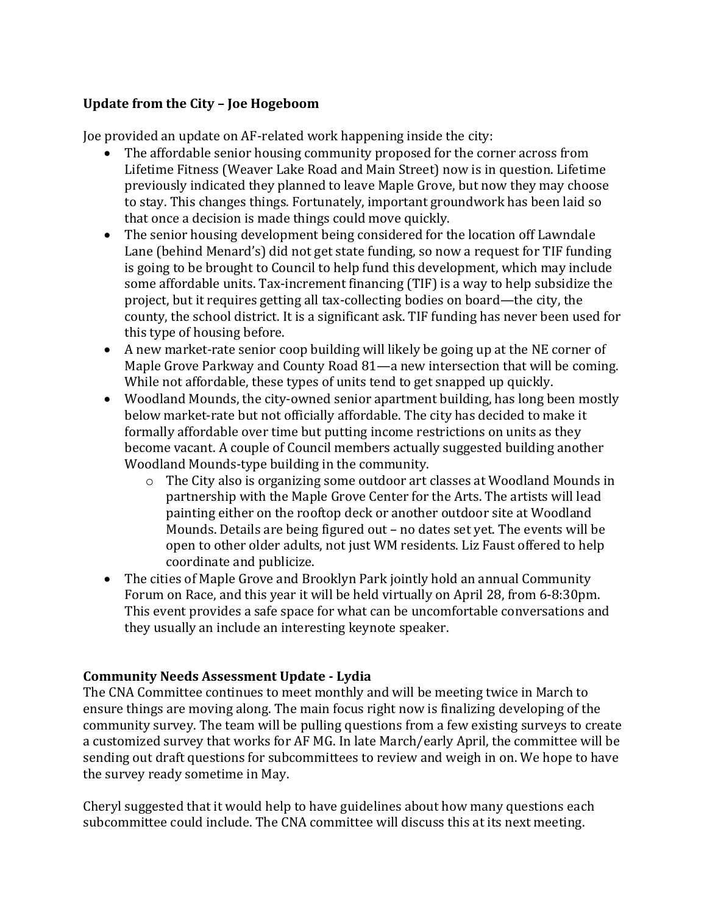#### **Update from the City – Joe Hogeboom**

Joe provided an update on AF-related work happening inside the city:

- The affordable senior housing community proposed for the corner across from Lifetime Fitness (Weaver Lake Road and Main Street) now is in question. Lifetime previously indicated they planned to leave Maple Grove, but now they may choose to stay. This changes things. Fortunately, important groundwork has been laid so that once a decision is made things could move quickly.
- The senior housing development being considered for the location off Lawndale Lane (behind Menard's) did not get state funding, so now a request for TIF funding is going to be brought to Council to help fund this development, which may include some affordable units. Tax-increment financing (TIF) is a way to help subsidize the project, but it requires getting all tax-collecting bodies on board—the city, the county, the school district. It is a significant ask. TIF funding has never been used for this type of housing before.
- A new market-rate senior coop building will likely be going up at the NE corner of Maple Grove Parkway and County Road 81—a new intersection that will be coming. While not affordable, these types of units tend to get snapped up quickly.
- Woodland Mounds, the city-owned senior apartment building, has long been mostly below market-rate but not officially affordable. The city has decided to make it formally affordable over time but putting income restrictions on units as they become vacant. A couple of Council members actually suggested building another Woodland Mounds-type building in the community.
	- o The City also is organizing some outdoor art classes at Woodland Mounds in partnership with the Maple Grove Center for the Arts. The artists will lead painting either on the rooftop deck or another outdoor site at Woodland Mounds. Details are being figured out – no dates set yet. The events will be open to other older adults, not just WM residents. Liz Faust offered to help coordinate and publicize.
- The cities of Maple Grove and Brooklyn Park jointly hold an annual Community Forum on Race, and this year it will be held virtually on April 28, from 6-8:30pm. This event provides a safe space for what can be uncomfortable conversations and they usually an include an interesting keynote speaker.

### **Community Needs Assessment Update - Lydia**

The CNA Committee continues to meet monthly and will be meeting twice in March to ensure things are moving along. The main focus right now is finalizing developing of the community survey. The team will be pulling questions from a few existing surveys to create a customized survey that works for AF MG. In late March/early April, the committee will be sending out draft questions for subcommittees to review and weigh in on. We hope to have the survey ready sometime in May.

Cheryl suggested that it would help to have guidelines about how many questions each subcommittee could include. The CNA committee will discuss this at its next meeting.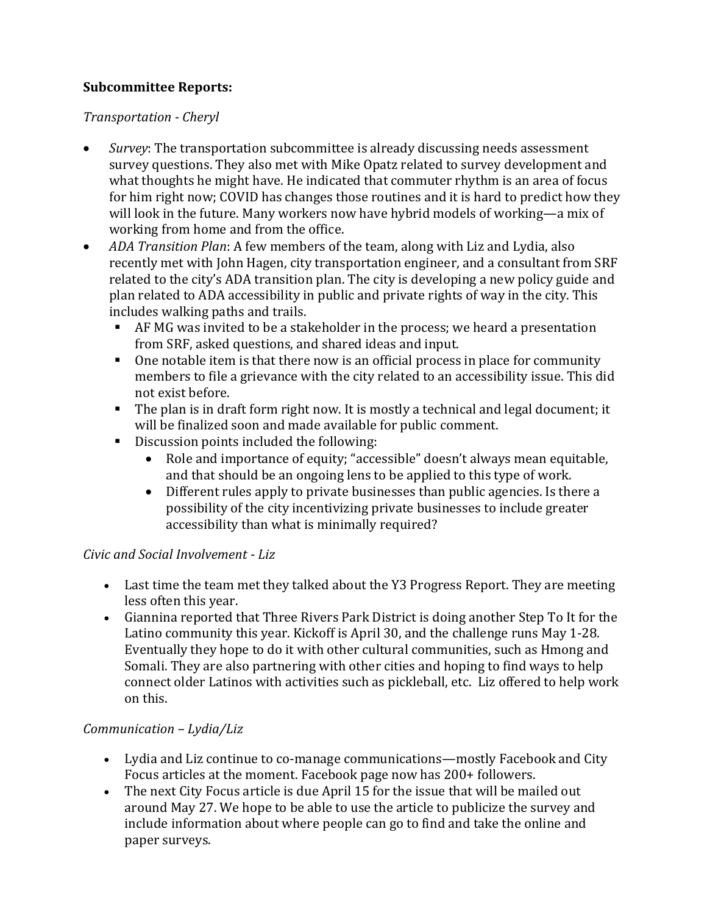## **Subcommittee Reports:**

*Transportation - Cheryl*

- *Survey*: The transportation subcommittee is already discussing needs assessment survey questions. They also met with Mike Opatz related to survey development and what thoughts he might have. He indicated that commuter rhythm is an area of focus for him right now; COVID has changes those routines and it is hard to predict how they will look in the future. Many workers now have hybrid models of working—a mix of working from home and from the office.
- *ADA Transition Plan*: A few members of the team, along with Liz and Lydia, also recently met with John Hagen, city transportation engineer, and a consultant from SRF related to the city's ADA transition plan. The city is developing a new policy guide and plan related to ADA accessibility in public and private rights of way in the city. This includes walking paths and trails.
	- AF MG was invited to be a stakeholder in the process; we heard a presentation from SRF, asked questions, and shared ideas and input.
	- One notable item is that there now is an official process in place for community members to file a grievance with the city related to an accessibility issue. This did not exist before.
	- The plan is in draft form right now. It is mostly a technical and legal document; it will be finalized soon and made available for public comment.
	- Discussion points included the following:
		- Role and importance of equity; "accessible" doesn't always mean equitable, and that should be an ongoing lens to be applied to this type of work.
		- Different rules apply to private businesses than public agencies. Is there a possibility of the city incentivizing private businesses to include greater accessibility than what is minimally required?

### *Civic and Social Involvement - Liz*

- Last time the team met they talked about the Y3 Progress Report. They are meeting less often this year.
- Giannina reported that Three Rivers Park District is doing another Step To It for the Latino community this year. Kickoff is April 30, and the challenge runs May 1-28. Eventually they hope to do it with other cultural communities, such as Hmong and Somali. They are also partnering with other cities and hoping to find ways to help connect older Latinos with activities such as pickleball, etc. Liz offered to help work on this.

## *Communication – Lydia/Liz*

- Lydia and Liz continue to co-manage communications—mostly Facebook and City Focus articles at the moment. Facebook page now has 200+ followers.
- The next City Focus article is due April 15 for the issue that will be mailed out around May 27. We hope to be able to use the article to publicize the survey and include information about where people can go to find and take the online and paper surveys.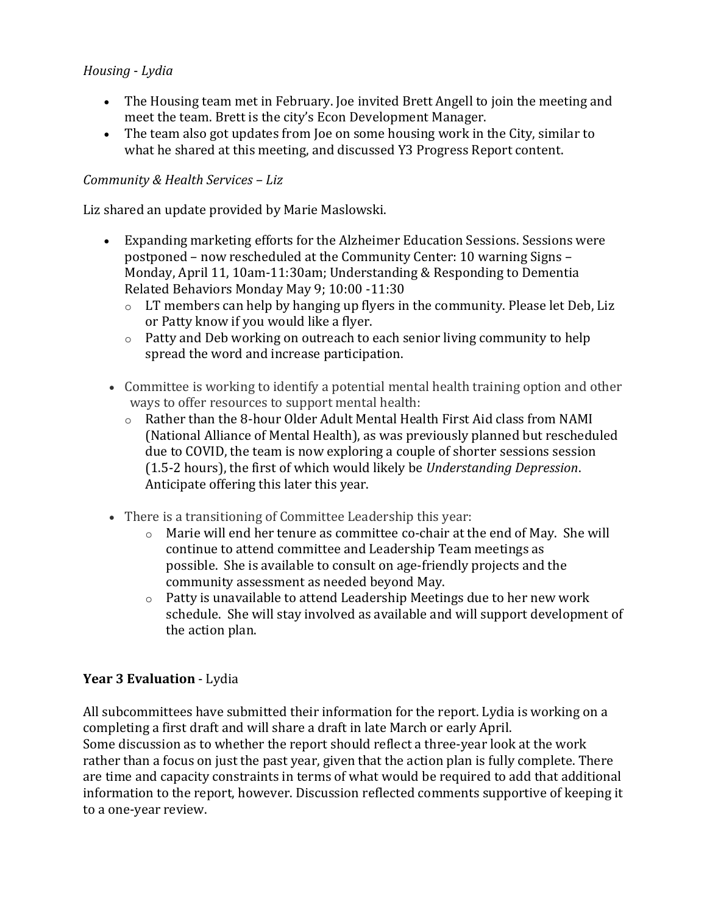### *Housing* - *Lydia*

- The Housing team met in February. Joe invited Brett Angell to join the meeting and meet the team. Brett is the city's Econ Development Manager.
- The team also got updates from Joe on some housing work in the City, similar to what he shared at this meeting, and discussed Y3 Progress Report content.

#### *Community & Health Services – Liz*

Liz shared an update provided by Marie Maslowski.

- Expanding marketing efforts for the Alzheimer Education Sessions. Sessions were postponed – now rescheduled at the Community Center: 10 warning Signs – Monday, April 11, 10am-11:30am; Understanding & Responding to Dementia Related Behaviors Monday May 9; 10:00 -11:30
	- o LT members can help by hanging up flyers in the community. Please let Deb, Liz or Patty know if you would like a flyer.
	- o Patty and Deb working on outreach to each senior living community to help spread the word and increase participation.
- Committee is working to identify a potential mental health training option and other ways to offer resources to support mental health:
	- o Rather than the 8-hour Older Adult Mental Health First Aid class from NAMI (National Alliance of Mental Health), as was previously planned but rescheduled due to COVID, the team is now exploring a couple of shorter sessions session (1.5-2 hours), the first of which would likely be *Understanding Depression*. Anticipate offering this later this year.
- There is a transitioning of Committee Leadership this year:
	- $\circ$  Marie will end her tenure as committee co-chair at the end of May. She will continue to attend committee and Leadership Team meetings as possible. She is available to consult on age-friendly projects and the community assessment as needed beyond May.
	- o Patty is unavailable to attend Leadership Meetings due to her new work schedule. She will stay involved as available and will support development of the action plan.

### **Year 3 Evaluation** - Lydia

All subcommittees have submitted their information for the report. Lydia is working on a completing a first draft and will share a draft in late March or early April. Some discussion as to whether the report should reflect a three-year look at the work rather than a focus on just the past year, given that the action plan is fully complete. There are time and capacity constraints in terms of what would be required to add that additional information to the report, however. Discussion reflected comments supportive of keeping it to a one-year review.